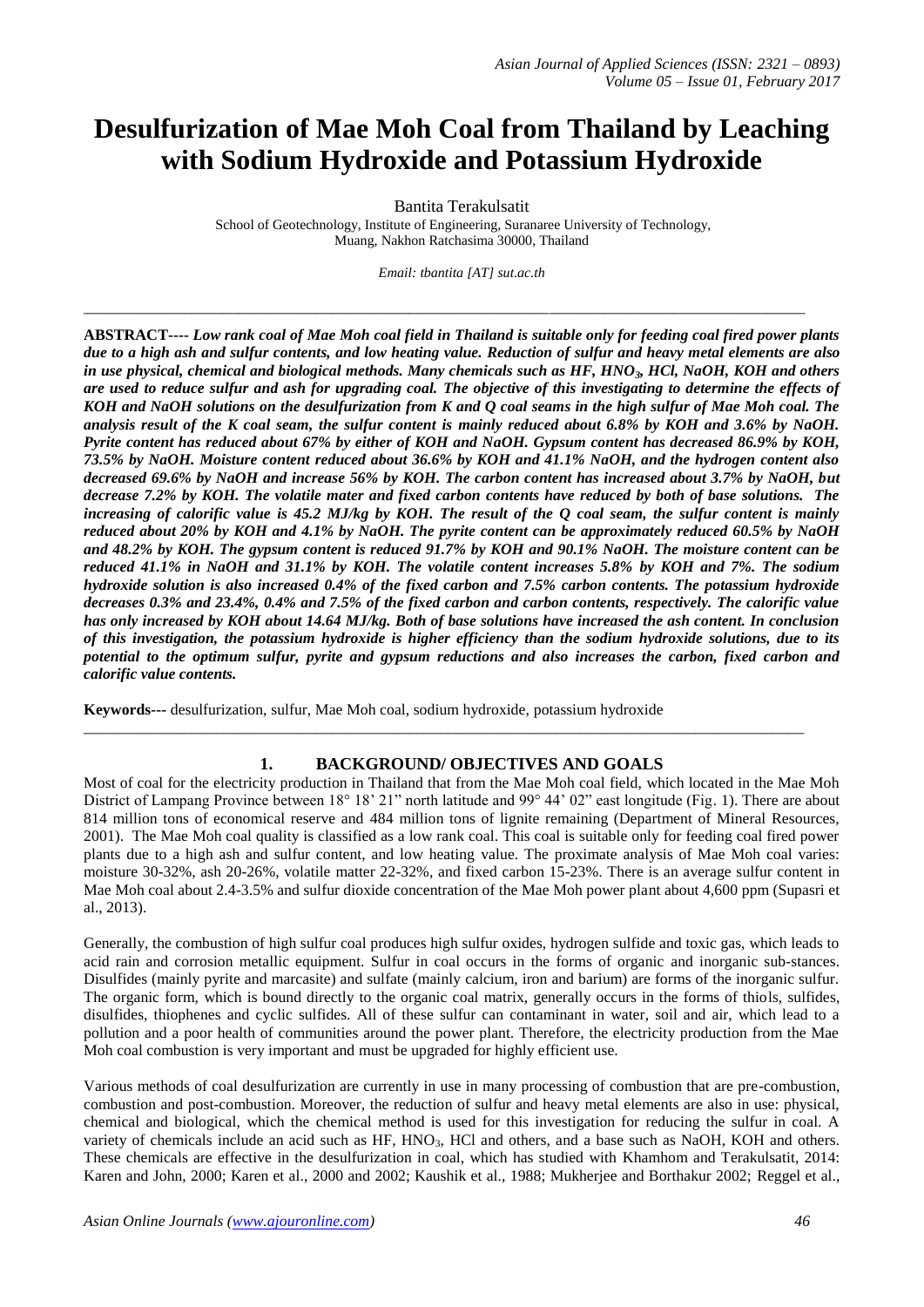# **Desulfurization of Mae Moh Coal from Thailand by Leaching with Sodium Hydroxide and Potassium Hydroxide**

Bantita Terakulsatit

School of Geotechnology, Institute of Engineering, Suranaree University of Technology, Muang, Nakhon Ratchasima 30000, Thailand

*Email: tbantita [AT] sut.ac.th*

\_\_\_\_\_\_\_\_\_\_\_\_\_\_\_\_\_\_\_\_\_\_\_\_\_\_\_\_\_\_\_\_\_\_\_\_\_\_\_\_\_\_\_\_\_\_\_\_\_\_\_\_\_\_\_\_\_\_\_\_\_\_\_\_\_\_\_\_\_\_\_\_\_\_\_\_\_\_\_\_\_\_\_\_\_\_\_\_\_\_\_\_\_

**ABSTRACT----** *Low rank coal of Mae Moh coal field in Thailand is suitable only for feeding coal fired power plants due to a high ash and sulfur contents, and low heating value. Reduction of sulfur and heavy metal elements are also in use physical, chemical and biological methods. Many chemicals such as HF, HNO3, HCl, NaOH, KOH and others are used to reduce sulfur and ash for upgrading coal. The objective of this investigating to determine the effects of KOH and NaOH solutions on the desulfurization from K and Q coal seams in the high sulfur of Mae Moh coal. The analysis result of the K coal seam, the sulfur content is mainly reduced about 6.8% by KOH and 3.6% by NaOH. Pyrite content has reduced about 67% by either of KOH and NaOH. Gypsum content has decreased 86.9% by KOH, 73.5% by NaOH. Moisture content reduced about 36.6% by KOH and 41.1% NaOH, and the hydrogen content also decreased 69.6% by NaOH and increase 56% by KOH. The carbon content has increased about 3.7% by NaOH, but decrease 7.2% by KOH. The volatile mater and fixed carbon contents have reduced by both of base solutions. The increasing of calorific value is 45.2 MJ/kg by KOH. The result of the Q coal seam, the sulfur content is mainly reduced about 20% by KOH and 4.1% by NaOH. The pyrite content can be approximately reduced 60.5% by NaOH and 48.2% by KOH. The gypsum content is reduced 91.7% by KOH and 90.1% NaOH. The moisture content can be reduced 41.1% in NaOH and 31.1% by KOH. The volatile content increases 5.8% by KOH and 7%. The sodium hydroxide solution is also increased 0.4% of the fixed carbon and 7.5% carbon contents. The potassium hydroxide decreases 0.3% and 23.4%, 0.4% and 7.5% of the fixed carbon and carbon contents, respectively. The calorific value has only increased by KOH about 14.64 MJ/kg. Both of base solutions have increased the ash content. In conclusion of this investigation, the potassium hydroxide is higher efficiency than the sodium hydroxide solutions, due to its potential to the optimum sulfur, pyrite and gypsum reductions and also increases the carbon, fixed carbon and calorific value contents.*

**Keywords---** desulfurization, sulfur, Mae Moh coal, sodium hydroxide, potassium hydroxide

# **1. BACKGROUND/ OBJECTIVES AND GOALS**

\_\_\_\_\_\_\_\_\_\_\_\_\_\_\_\_\_\_\_\_\_\_\_\_\_\_\_\_\_\_\_\_\_\_\_\_\_\_\_\_\_\_\_\_\_\_\_\_\_\_\_\_\_\_\_\_\_\_\_\_\_\_\_\_\_\_\_\_\_\_\_\_\_\_\_\_\_\_\_\_\_\_\_\_\_\_\_\_\_\_\_\_\_

Most of coal for the electricity production in Thailand that from the Mae Moh coal field, which located in the Mae Moh District of Lampang Province between 18° 18' 21" north latitude and 99° 44' 02" east longitude (Fig. 1). There are about 814 million tons of economical reserve and 484 million tons of lignite remaining (Department of Mineral Resources, 2001). The Mae Moh coal quality is classified as a low rank coal. This coal is suitable only for feeding coal fired power plants due to a high ash and sulfur content, and low heating value. The proximate analysis of Mae Moh coal varies: moisture 30-32%, ash 20-26%, volatile matter 22-32%, and fixed carbon 15-23%. There is an average sulfur content in Mae Moh coal about 2.4-3.5% and sulfur dioxide concentration of the Mae Moh power plant about 4,600 ppm (Supasri et al., 2013).

Generally, the combustion of high sulfur coal produces high sulfur oxides, hydrogen sulfide and toxic gas, which leads to acid rain and corrosion metallic equipment. Sulfur in coal occurs in the forms of organic and inorganic sub-stances. Disulfides (mainly pyrite and marcasite) and sulfate (mainly calcium, iron and barium) are forms of the inorganic sulfur. The organic form, which is bound directly to the organic coal matrix, generally occurs in the forms of thiols, sulfides, disulfides, thiophenes and cyclic sulfides. All of these sulfur can contaminant in water, soil and air, which lead to a pollution and a poor health of communities around the power plant. Therefore, the electricity production from the Mae Moh coal combustion is very important and must be upgraded for highly efficient use.

Various methods of coal desulfurization are currently in use in many processing of combustion that are pre-combustion, combustion and post-combustion. Moreover, the reduction of sulfur and heavy metal elements are also in use: physical, chemical and biological, which the chemical method is used for this investigation for reducing the sulfur in coal. A variety of chemicals include an acid such as HF, HNO<sub>3</sub>, HCl and others, and a base such as NaOH, KOH and others. These chemicals are effective in the desulfurization in coal, which has studied with Khamhom and Terakulsatit, 2014: Karen and John, 2000; Karen et al., 2000 and 2002; Kaushik et al., 1988; Mukherjee and Borthakur 2002; Reggel et al.,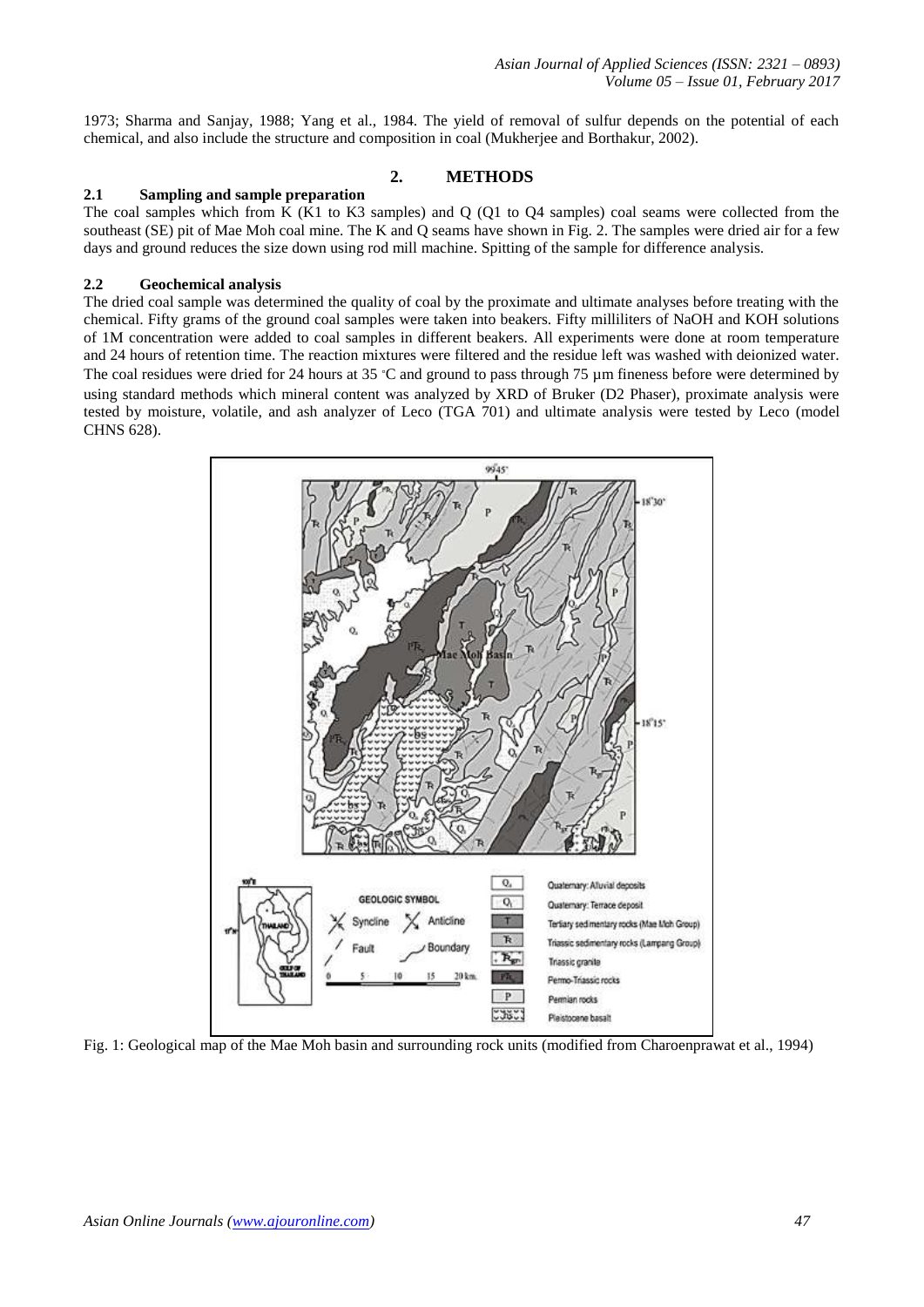1973; Sharma and Sanjay, 1988; Yang et al., 1984. The yield of removal of sulfur depends on the potential of each chemical, and also include the structure and composition in coal (Mukherjee and Borthakur, 2002).

## **2. METHODS**

## **2.1 Sampling and sample preparation**

The coal samples which from K (K1 to K3 samples) and Q (Q1 to Q4 samples) coal seams were collected from the southeast (SE) pit of Mae Moh coal mine. The K and Q seams have shown in Fig. 2. The samples were dried air for a few days and ground reduces the size down using rod mill machine. Spitting of the sample for difference analysis.

## **2.2 Geochemical analysis**

The dried coal sample was determined the quality of coal by the proximate and ultimate analyses before treating with the chemical. Fifty grams of the ground coal samples were taken into beakers. Fifty milliliters of NaOH and KOH solutions of 1M concentration were added to coal samples in different beakers. All experiments were done at room temperature and 24 hours of retention time. The reaction mixtures were filtered and the residue left was washed with deionized water. The coal residues were dried for 24 hours at 35 °C and ground to pass through 75  $\mu$ m fineness before were determined by using standard methods which mineral content was analyzed by XRD of Bruker (D2 Phaser), proximate analysis were tested by moisture, volatile, and ash analyzer of Leco (TGA 701) and ultimate analysis were tested by Leco (model CHNS 628).



Fig. 1: Geological map of the Mae Moh basin and surrounding rock units (modified from Charoenprawat et al., 1994)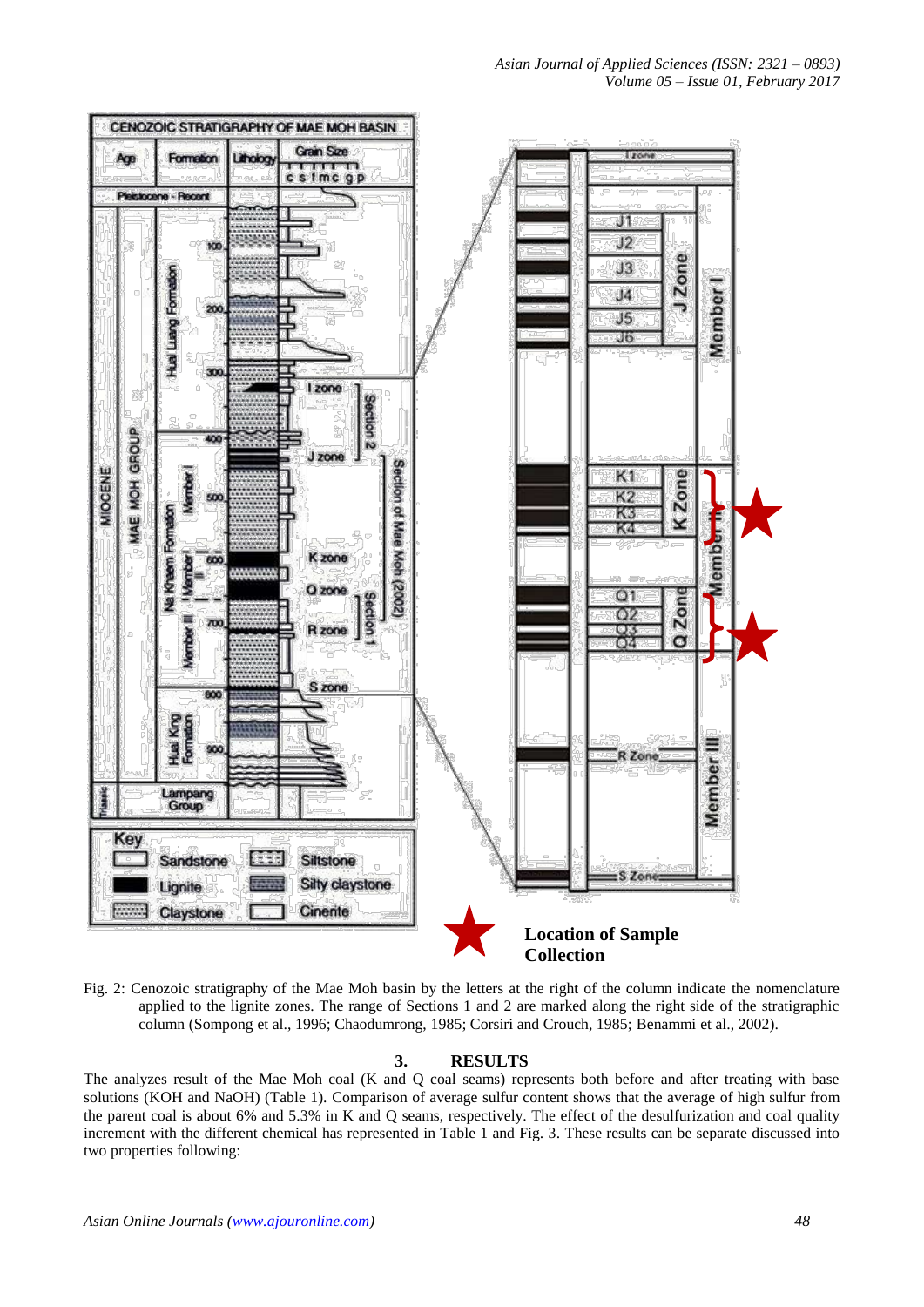

Fig. 2: Cenozoic stratigraphy of the Mae Moh basin by the letters at the right of the column indicate the nomenclature applied to the lignite zones. The range of Sections 1 and 2 are marked along the right side of the stratigraphic column (Sompong et al., 1996; Chaodumrong, 1985; Corsiri and Crouch, 1985; Benammi et al., 2002).

# **3. RESULTS**

The analyzes result of the Mae Moh coal (K and Q coal seams) represents both before and after treating with base solutions (KOH and NaOH) (Table 1). Comparison of average sulfur content shows that the average of high sulfur from the parent coal is about 6% and 5.3% in K and Q seams, respectively. The effect of the desulfurization and coal quality increment with the different chemical has represented in Table 1 and Fig. 3. These results can be separate discussed into two properties following: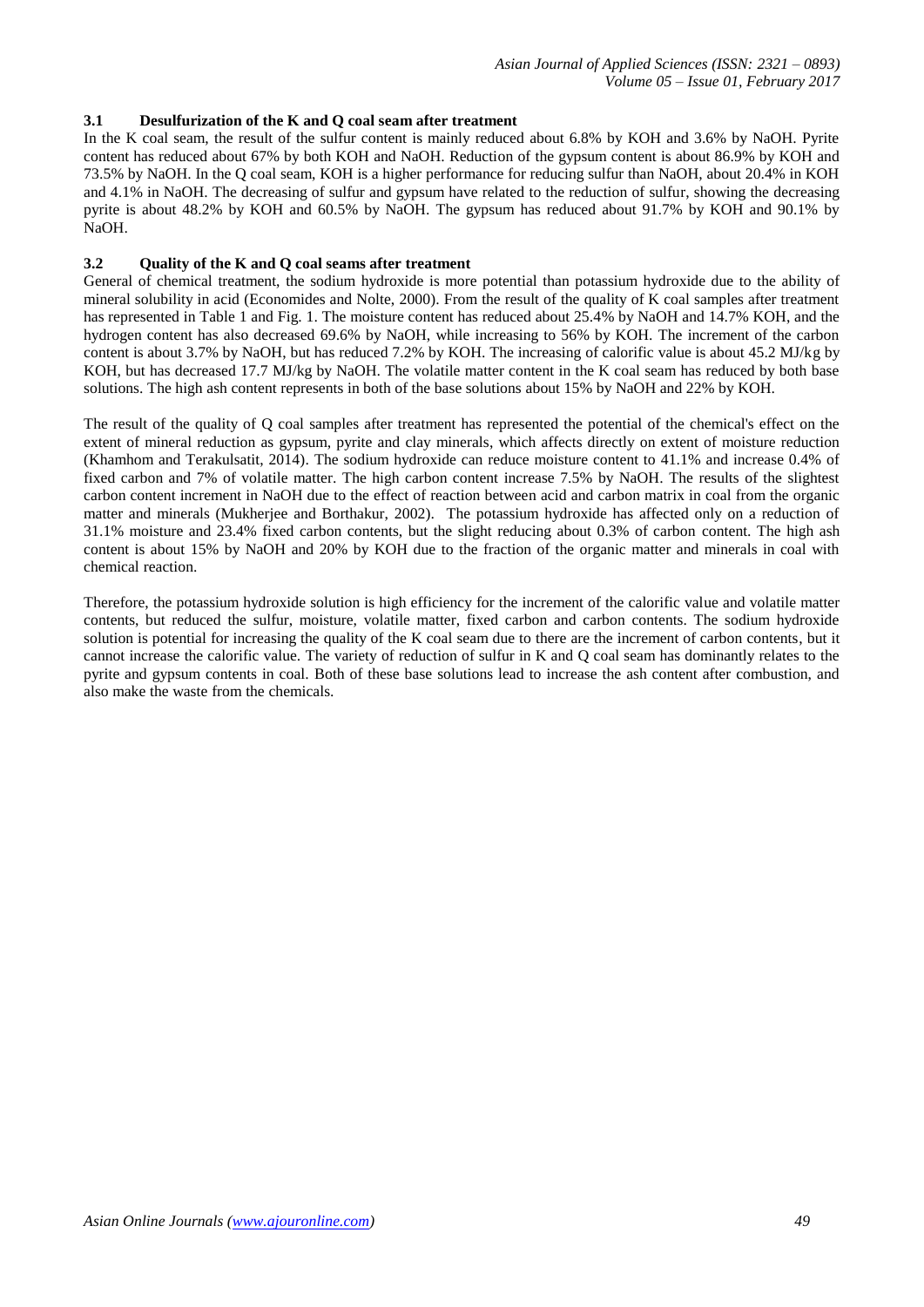## **3.1 Desulfurization of the K and Q coal seam after treatment**

In the K coal seam, the result of the sulfur content is mainly reduced about 6.8% by KOH and 3.6% by NaOH. Pyrite content has reduced about 67% by both KOH and NaOH. Reduction of the gypsum content is about 86.9% by KOH and 73.5% by NaOH. In the Q coal seam, KOH is a higher performance for reducing sulfur than NaOH, about 20.4% in KOH and 4.1% in NaOH. The decreasing of sulfur and gypsum have related to the reduction of sulfur, showing the decreasing pyrite is about 48.2% by KOH and 60.5% by NaOH. The gypsum has reduced about 91.7% by KOH and 90.1% by NaOH.

## **3.2 Quality of the K and Q coal seams after treatment**

General of chemical treatment, the sodium hydroxide is more potential than potassium hydroxide due to the ability of mineral solubility in acid (Economides and Nolte, 2000). From the result of the quality of K coal samples after treatment has represented in Table 1 and Fig. 1. The moisture content has reduced about 25.4% by NaOH and 14.7% KOH, and the hydrogen content has also decreased 69.6% by NaOH, while increasing to 56% by KOH. The increment of the carbon content is about 3.7% by NaOH, but has reduced 7.2% by KOH. The increasing of calorific value is about 45.2 MJ/kg by KOH, but has decreased 17.7 MJ/kg by NaOH. The volatile matter content in the K coal seam has reduced by both base solutions. The high ash content represents in both of the base solutions about 15% by NaOH and 22% by KOH.

The result of the quality of Q coal samples after treatment has represented the potential of the chemical's effect on the extent of mineral reduction as gypsum, pyrite and clay minerals, which affects directly on extent of moisture reduction (Khamhom and Terakulsatit, 2014). The sodium hydroxide can reduce moisture content to 41.1% and increase 0.4% of fixed carbon and 7% of volatile matter. The high carbon content increase 7.5% by NaOH. The results of the slightest carbon content increment in NaOH due to the effect of reaction between acid and carbon matrix in coal from the organic matter and minerals (Mukherjee and Borthakur, 2002). The potassium hydroxide has affected only on a reduction of 31.1% moisture and 23.4% fixed carbon contents, but the slight reducing about 0.3% of carbon content. The high ash content is about 15% by NaOH and 20% by KOH due to the fraction of the organic matter and minerals in coal with chemical reaction.

Therefore, the potassium hydroxide solution is high efficiency for the increment of the calorific value and volatile matter contents, but reduced the sulfur, moisture, volatile matter, fixed carbon and carbon contents. The sodium hydroxide solution is potential for increasing the quality of the K coal seam due to there are the increment of carbon contents, but it cannot increase the calorific value. The variety of reduction of sulfur in K and Q coal seam has dominantly relates to the pyrite and gypsum contents in coal. Both of these base solutions lead to increase the ash content after combustion, and also make the waste from the chemicals.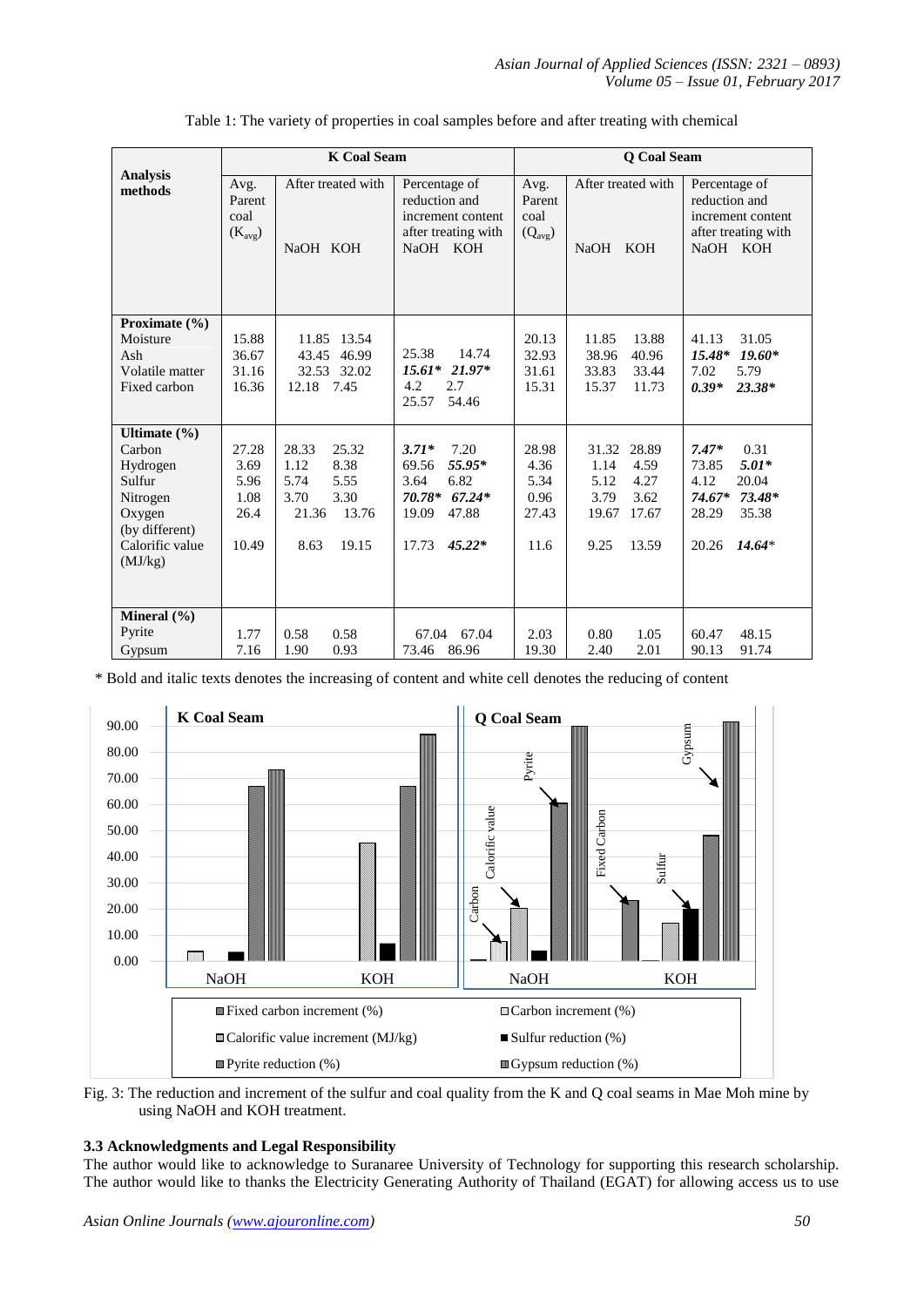|                                                                                                                        | <b>K Coal Seam</b>                             |                                                                                                   |                                                                                                                 | <b>O</b> Coal Seam                             |                                                                                                   |                                                                                                                   |
|------------------------------------------------------------------------------------------------------------------------|------------------------------------------------|---------------------------------------------------------------------------------------------------|-----------------------------------------------------------------------------------------------------------------|------------------------------------------------|---------------------------------------------------------------------------------------------------|-------------------------------------------------------------------------------------------------------------------|
| <b>Analysis</b><br>methods                                                                                             | Avg.<br>Parent<br>coal<br>$(K_{avg})$          | After treated with<br>NaOH KOH                                                                    | Percentage of<br>reduction and<br>increment content<br>after treating with<br>NaOH KOH                          | Avg.<br>Parent<br>coal<br>$(Q_{avg})$          | After treated with<br>NaOH KOH                                                                    | Percentage of<br>reduction and<br>increment content<br>after treating with<br>NaOH KOH                            |
| Proximate $(\% )$<br>Moisture<br>Ash<br>Volatile matter<br>Fixed carbon                                                | 15.88<br>36.67<br>31.16<br>16.36               | 11.85 13.54<br>43.45 46.99<br>32.53 32.02<br>12.18 7.45                                           | 14.74<br>25.38<br>$15.61*$<br>$21.97*$<br>4.2<br>2.7<br>25.57<br>54.46                                          | 20.13<br>32.93<br>31.61<br>15.31               | 11.85<br>13.88<br>38.96<br>40.96<br>33.83<br>33.44<br>15.37<br>11.73                              | 31.05<br>41.13<br>$19.60*$<br>$15.48*$<br>5.79<br>7.02<br>$0.39*$<br>$23.38*$                                     |
| Ultimate $(\% )$<br>Carbon<br>Hydrogen<br>Sulfur<br>Nitrogen<br>Oxygen<br>(by different)<br>Calorific value<br>(MJ/kg) | 27.28<br>3.69<br>5.96<br>1.08<br>26.4<br>10.49 | 28.33<br>25.32<br>8.38<br>1.12<br>5.74<br>5.55<br>3.30<br>3.70<br>13.76<br>21.36<br>19.15<br>8.63 | $3.71*$<br>7.20<br>55.95*<br>69.56<br>6.82<br>3.64<br>70.78*<br>$67.24*$<br>19.09<br>47.88<br>$45.22*$<br>17.73 | 28.98<br>4.36<br>5.34<br>0.96<br>27.43<br>11.6 | 31.32<br>28.89<br>4.59<br>1.14<br>4.27<br>5.12<br>3.79<br>3.62<br>19.67<br>17.67<br>9.25<br>13.59 | 0.31<br>$7.47*$<br>$5.01*$<br>73.85<br>20.04<br>4.12<br>74.67*<br>$73.48*$<br>35.38<br>28.29<br>20.26<br>$14.64*$ |
| Mineral $(\% )$<br>Pyrite<br>Gypsum                                                                                    | 1.77<br>7.16                                   | 0.58<br>0.58<br>0.93<br>1.90                                                                      | 67.04<br>67.04<br>73.46 86.96                                                                                   | 2.03<br>19.30                                  | 0.80<br>1.05<br>2.40<br>2.01                                                                      | 48.15<br>60.47<br>90.13<br>91.74                                                                                  |

| Table 1: The variety of properties in coal samples before and after treating with chemical |  |  |
|--------------------------------------------------------------------------------------------|--|--|
|--------------------------------------------------------------------------------------------|--|--|

\* Bold and italic texts denotes the increasing of content and white cell denotes the reducing of content



Fig. 3: The reduction and increment of the sulfur and coal quality from the K and Q coal seams in Mae Moh mine by using NaOH and KOH treatment.

## **3.3 Acknowledgments and Legal Responsibility**

The author would like to acknowledge to Suranaree University of Technology for supporting this research scholarship. The author would like to thanks the Electricity Generating Authority of Thailand (EGAT) for allowing access us to use